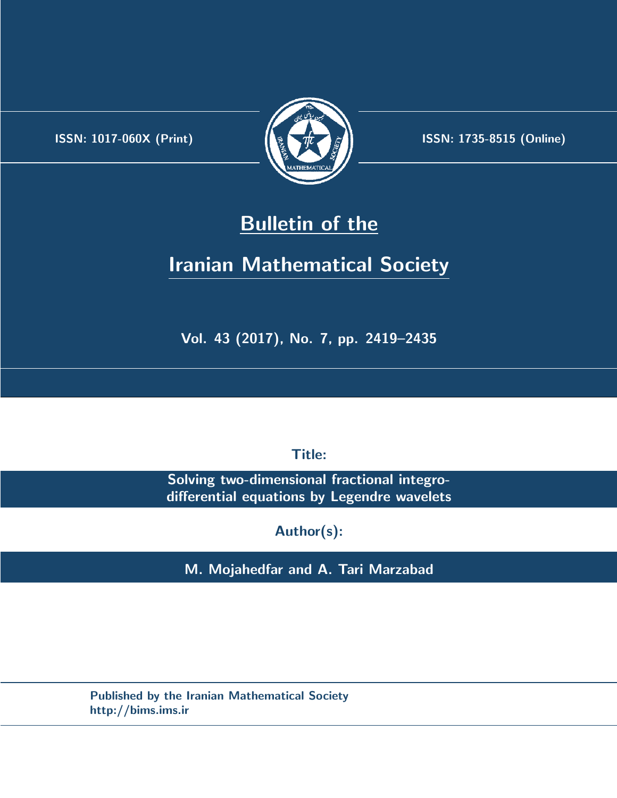.



**ISSN:** 1017-060X (Print)  $\left(\frac{1}{2}\right)$   $\frac{1}{2}$   $\frac{1}{2}$   $\frac{1}{2}$  **ISSN:** 1735-8515 (Online)

## **Bulletin of the**

# **Iranian Mathematical Society**

**Vol. 43 (2017), No. 7, pp. 2419–2435**

**Title:**

**Solving two-dimensional fractional integrodifferential equations by Legendre wavelets**

**Author(s):**

**M. Mojahedfar and A. Tari Marzabad**

**Published by the Iranian Mathematical Society http://bims.ims.ir**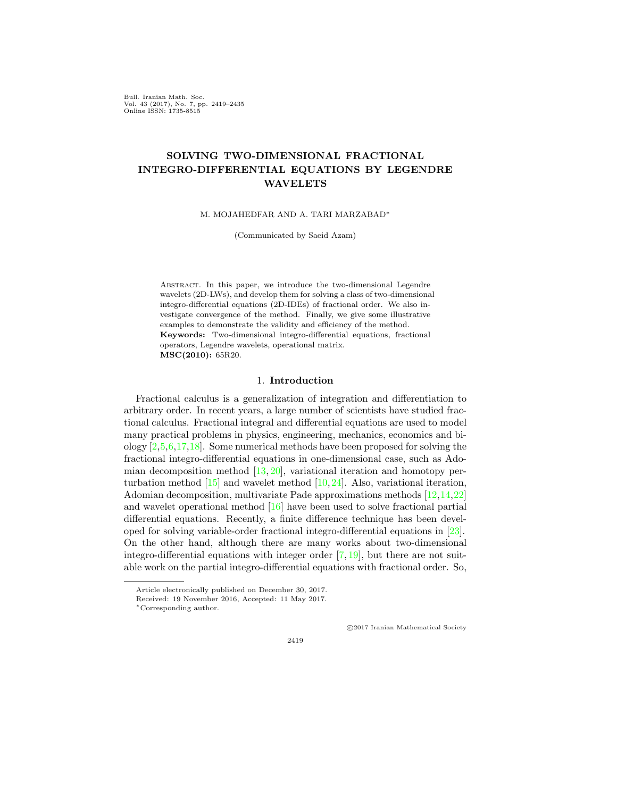Bull. Iranian Math. Soc. Vol. 43 (2017), No. 7, pp. 2419–2435 Online ISSN: 1735-8515

## **SOLVING TWO-DIMENSIONAL FRACTIONAL INTEGRO-DIFFERENTIAL EQUATIONS BY LEGENDRE WAVELETS**

M. MOJAHEDFAR AND A. TARI MARZABAD*∗*

(Communicated by Saeid Azam)

Abstract. In this paper, we introduce the two-dimensional Legendre wavelets (2D-LWs), and develop them for solving a class of two-dimensional integro-differential equations (2D-IDEs) of fractional order. We also investigate convergence of the method. Finally, we give some illustrative examples to demonstrate the validity and efficiency of the method. **Keywords:** Two-dimensional integro-differential equations, fractional operators, Legendre wavelets, operational matrix. **MSC(2010):** 65R20.

#### 1. **Introduction**

Fractional calculus is a generalization of integration and differentiation to arbitrary order. In recent years, a large number of scientists have studied fractional calculus. Fractional integral and differential equations are used to model many practical problems in physics, engineering, mechanics, economics and biology[[2,](#page-16-0)[5](#page-16-1),[6](#page-16-2),[17](#page-16-3),[18](#page-16-4)]. Some numerical methods have been proposed for solving the fractional integro-differential equations in one-dimensional case, such as Adomiandecomposition method  $[13, 20]$  $[13, 20]$  $[13, 20]$  $[13, 20]$  $[13, 20]$ , variational iteration and homotopy perturbationmethod  $[15]$  $[15]$  and wavelet method  $[10,24]$  $[10,24]$ . Also, variational iteration, Adomian decomposition, multivariate Pade approximations methods[[12,](#page-16-8)[14](#page-16-9),[22](#page-17-2)] and wavelet operational method[[16\]](#page-16-10) have been used to solve fractional partial differential equations. Recently, a finite difference technique has been developed for solving variable-order fractional integro-differential equations in[[23](#page-17-3)]. On the other hand, although there are many works about two-dimensional integro-differentialequations with integer order  $[7, 19]$  $[7, 19]$  $[7, 19]$  $[7, 19]$ , but there are not suitable work on the partial integro-differential equations with fractional order. So,

*⃝*c 2017 Iranian Mathematical Society

Article electronically published on December 30, 2017.

Received: 19 November 2016, Accepted: 11 May 2017.

*<sup>∗</sup>*Corresponding author.

<sup>2419</sup>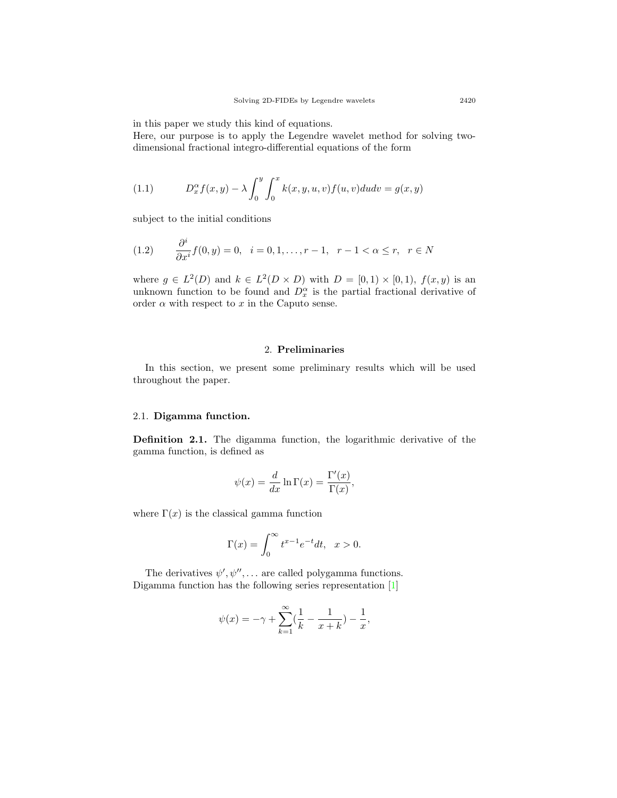in this paper we study this kind of equations.

Here, our purpose is to apply the Legendre wavelet method for solving twodimensional fractional integro-differential equations of the form

<span id="page-2-0"></span>(1.1) 
$$
D_x^{\alpha} f(x, y) - \lambda \int_0^y \int_0^x k(x, y, u, v) f(u, v) du dv = g(x, y)
$$

subject to the initial conditions

<span id="page-2-1"></span>(1.2) 
$$
\frac{\partial^i}{\partial x^i} f(0, y) = 0, \quad i = 0, 1, \dots, r - 1, \quad r - 1 < \alpha \leq r, \quad r \in N
$$

where  $g \in L^2(D)$  and  $k \in L^2(D \times D)$  with  $D = [0,1) \times [0,1)$ ,  $f(x, y)$  is an unknown function to be found and  $D_x^{\alpha}$  is the partial fractional derivative of order  $\alpha$  with respect to  $x$  in the Caputo sense.

## 2. **Preliminaries**

In this section, we present some preliminary results which will be used throughout the paper.

### 2.1. **Digamma function.**

**Definition 2.1.** The digamma function, the logarithmic derivative of the gamma function, is defined as

$$
\psi(x) = \frac{d}{dx} \ln \Gamma(x) = \frac{\Gamma'(x)}{\Gamma(x)},
$$

where  $\Gamma(x)$  is the classical gamma function

$$
\Gamma(x) = \int_0^\infty t^{x-1} e^{-t} dt, \quad x > 0.
$$

The derivatives  $\psi', \psi'', \dots$  are called polygamma functions. Digamma function has the following series representation[[1\]](#page-16-12)

$$
\psi(x) = -\gamma + \sum_{k=1}^{\infty} \left(\frac{1}{k} - \frac{1}{x+k}\right) - \frac{1}{x},
$$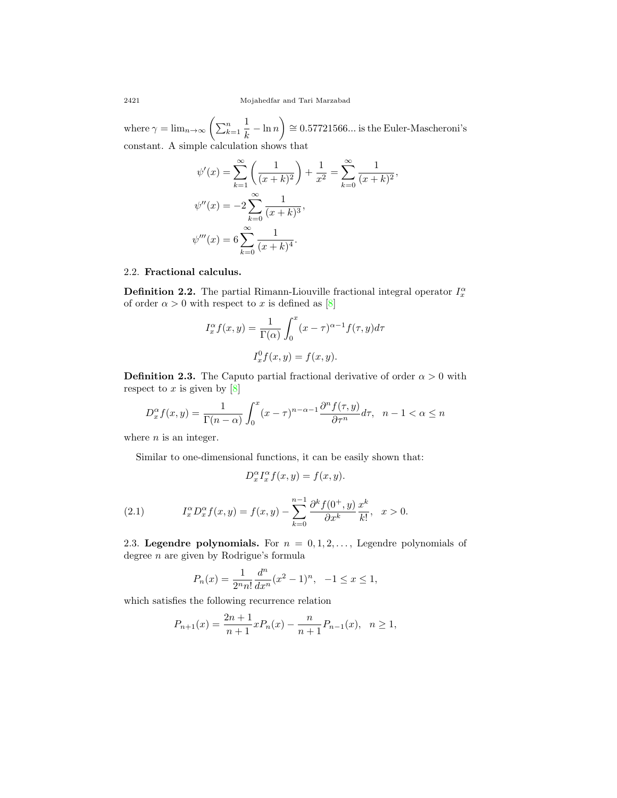where  $\gamma = \lim_{n \to \infty} \left( \sum_{k=1}^{n} \right)$ 1  $\frac{1}{k} - \ln n$ ) *∼*= 0*.*57721566*...* is the Euler-Mascheroni's constant. A simple calculation shows that

$$
\psi'(x) = \sum_{k=1}^{\infty} \left( \frac{1}{(x+k)^2} \right) + \frac{1}{x^2} = \sum_{k=0}^{\infty} \frac{1}{(x+k)^2},
$$
  

$$
\psi''(x) = -2 \sum_{k=0}^{\infty} \frac{1}{(x+k)^3},
$$
  

$$
\psi'''(x) = 6 \sum_{k=0}^{\infty} \frac{1}{(x+k)^4}.
$$

## 2.2. **Fractional calculus.**

**Definition 2.2.** The partial Rimann-Liouville fractional integral operator  $I_x^{\alpha}$ oforder  $\alpha > 0$  with respect to *x* is defined as [[8\]](#page-16-13)

$$
I_x^{\alpha} f(x, y) = \frac{1}{\Gamma(\alpha)} \int_0^x (x - \tau)^{\alpha - 1} f(\tau, y) d\tau
$$

$$
I_x^0 f(x, y) = f(x, y).
$$

**Definition 2.3.** The Caputo partial fractional derivative of order  $\alpha > 0$  with respectto  $x$  is given by  $[8]$  $[8]$ 

$$
D_x^{\alpha} f(x, y) = \frac{1}{\Gamma(n - \alpha)} \int_0^x (x - \tau)^{n - \alpha - 1} \frac{\partial^n f(\tau, y)}{\partial \tau^n} d\tau, \quad n - 1 < \alpha \le n
$$

where *n* is an integer.

Similar to one-dimensional functions, it can be easily shown that:

$$
D_x^{\alpha} I_x^{\alpha} f(x, y) = f(x, y).
$$

<span id="page-3-0"></span>(2.1) 
$$
I_x^{\alpha} D_x^{\alpha} f(x, y) = f(x, y) - \sum_{k=0}^{n-1} \frac{\partial^k f(0^+, y)}{\partial x^k} \frac{x^k}{k!}, \quad x > 0.
$$

2.3. **Legendre polynomials.** For  $n = 0, 1, 2, \ldots$ , Legendre polynomials of degree *n* are given by Rodrigue's formula

$$
P_n(x) = \frac{1}{2^n n!} \frac{d^n}{dx^n} (x^2 - 1)^n, \quad -1 \le x \le 1,
$$

which satisfies the following recurrence relation

$$
P_{n+1}(x) = \frac{2n+1}{n+1}xP_n(x) - \frac{n}{n+1}P_{n-1}(x), \quad n \ge 1,
$$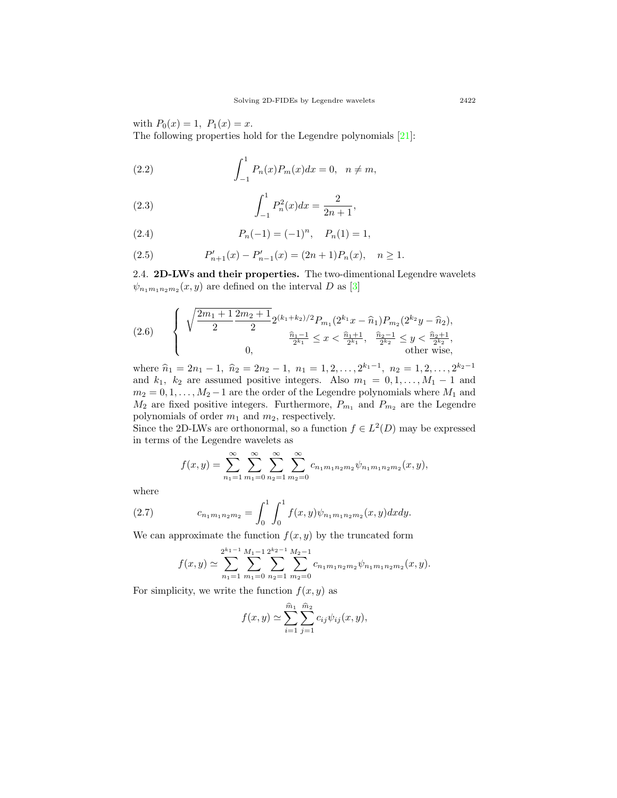with  $P_0(x) = 1$ ,  $P_1(x) = x$ . The following properties hold for the Legendre polynomials[[21\]](#page-17-5):

<span id="page-4-3"></span>(2.2) 
$$
\int_{-1}^{1} P_n(x) P_m(x) dx = 0, \quad n \neq m,
$$

<span id="page-4-4"></span>(2.3) 
$$
\int_{-1}^{1} P_n^2(x) dx = \frac{2}{2n+1},
$$

<span id="page-4-1"></span>(2.4) 
$$
P_n(-1) = (-1)^n, \quad P_n(1) = 1,
$$

<span id="page-4-2"></span>(2.5) 
$$
P'_{n+1}(x) - P'_{n-1}(x) = (2n+1)P_n(x), \quad n \ge 1.
$$

2.4. **2D-LWs and their properties.** The two-dimentional Legendre wavelets  $\psi_{n_1m_1n_2m_2}(x, y)$  $\psi_{n_1m_1n_2m_2}(x, y)$  $\psi_{n_1m_1n_2m_2}(x, y)$  are defined on the interval *D* as [[3\]](#page-16-14)

$$
(2.6) \qquad \left\{ \begin{array}{c} \sqrt{\frac{2m_1+1}{2}\frac{2m_2+1}{2}}2^{(k_1+k_2)/2}P_{m_1}(2^{k_1}x-\widehat{n}_1)P_{m_2}(2^{k_2}y-\widehat{n}_2),\\qquad \qquad \frac{\widehat{n}_1-1}{2^{k_1}}\leq x<\frac{\widehat{n}_1+1}{2^{k_1}}, \ \ \frac{\widehat{n}_2-1}{2^{k_2}}\leq y<\frac{\widehat{n}_2+1}{2^{k_2}},\\qquad \qquad 0, \qquad \qquad \text{other wise}, \end{array} \right.
$$

where  $\hat{n}_1 = 2n_1 - 1$ ,  $\hat{n}_2 = 2n_2 - 1$ ,  $n_1 = 1, 2, \ldots, 2^{k_1 - 1}$ ,  $n_2 = 1, 2, \ldots, 2^{k_2 - 1}$ and  $k_1$ ,  $k_2$  are assumed positive integers. Also  $m_1 = 0, 1, \ldots, M_1 - 1$  and  $m_2 = 0, 1, \ldots, M_2 - 1$  are the order of the Legendre polynomials where  $M_1$  and  $M_2$  are fixed positive integers. Furthermore,  $P_{m_1}$  and  $P_{m_2}$  are the Legendre polynomials of order *m*<sup>1</sup> and *m*2, respectively.

Since the 2D-LWs are orthonormal, so a function  $f \in L^2(D)$  may be expressed in terms of the Legendre wavelets as

$$
f(x,y) = \sum_{n_1=1}^{\infty} \sum_{m_1=0}^{\infty} \sum_{n_2=1}^{\infty} \sum_{m_2=0}^{\infty} c_{n_1 m_1 n_2 m_2} \psi_{n_1 m_1 n_2 m_2}(x,y),
$$

where

(2.7) 
$$
c_{n_1m_1n_2m_2} = \int_0^1 \int_0^1 f(x,y)\psi_{n_1m_1n_2m_2}(x,y)dxdy.
$$

We can approximate the function  $f(x, y)$  by the truncated form

<span id="page-4-0"></span>
$$
f(x,y) \simeq \sum_{n_1=1}^{2^{k_1-1}} \sum_{m_1=0}^{M_1-1} \sum_{n_2=1}^{2^{k_2-1}} \sum_{m_2=0}^{M_2-1} c_{n_1 m_1 n_2 m_2} \psi_{n_1 m_1 n_2 m_2}(x,y).
$$

For simplicity, we write the function  $f(x, y)$  as

$$
f(x, y) \simeq \sum_{i=1}^{\widehat{m}_1} \sum_{j=1}^{\widehat{m}_2} c_{ij} \psi_{ij}(x, y),
$$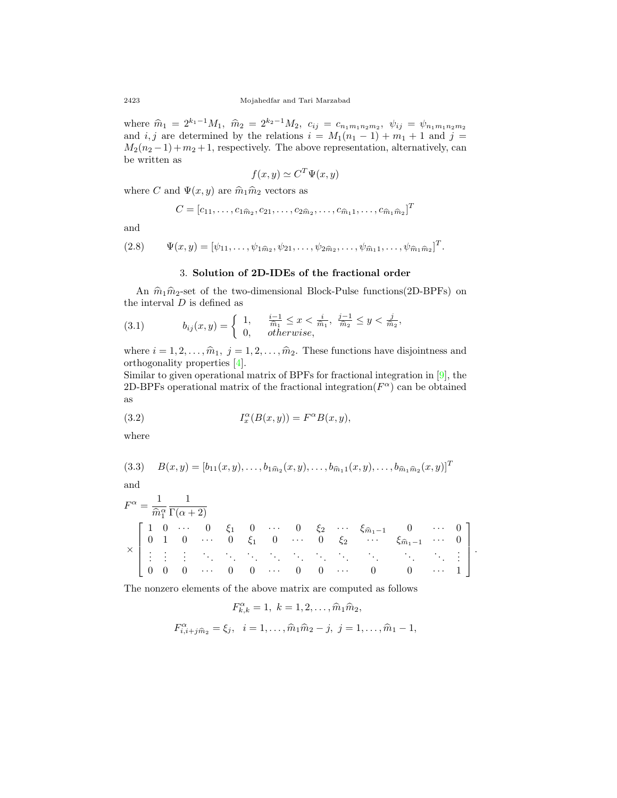where  $\hat{m}_1 = 2^{k_1-1} M_1$ ,  $\hat{m}_2 = 2^{k_2-1} M_2$ ,  $c_{ij} = c_{n_1 m_1 n_2 m_2}$ ,  $\psi_{ij} = \psi_{n_1 m_1 n_2 m_2}$ and *i, j* are determined by the relations  $i = M_1(n_1 - 1) + m_1 + 1$  and  $j =$  $M_2(n_2-1) + m_2 + 1$ , respectively. The above representation, alternatively, can be written as

$$
f(x, y) \simeq C^T \Psi(x, y)
$$

where *C* and  $\Psi(x, y)$  are  $\hat{m}_1 \hat{m}_2$  vectors as

$$
C = [c_{11}, \ldots, c_{1\hat{m}_2}, c_{21}, \ldots, c_{2\hat{m}_2}, \ldots, c_{\hat{m}_1 1}, \ldots, c_{\hat{m}_1 \hat{m}_2}]^T
$$

and

(2.8) 
$$
\Psi(x,y) = [\psi_{11}, \ldots, \psi_{1\widehat{m}_2}, \psi_{21}, \ldots, \psi_{2\widehat{m}_2}, \ldots, \psi_{\widehat{m}_1 1}, \ldots, \psi_{\widehat{m}_1 \widehat{m}_2}]^T.
$$

## <span id="page-5-0"></span>3. **Solution of 2D-IDEs of the fractional order**

An  $\hat{m}_1 \hat{m}_2$ -set of the two-dimensional Block-Pulse functions(2D-BPFs) on the interval *D* is defined as

(3.1) 
$$
b_{ij}(x,y) = \begin{cases} 1, & \frac{i-1}{\hat{m}_1} \leq x < \frac{i}{\hat{m}_1}, \ \frac{j-1}{\hat{m}_2} \leq y < \frac{j}{\hat{m}_2}, \\ 0, & otherwise, \end{cases}
$$

where  $i = 1, 2, \ldots, \hat{m}_1, j = 1, 2, \ldots, \hat{m}_2$ . These functions have disjointness and orthogonality properties [\[4](#page-16-15)].

Similar to given operational matrix of BPFs for fractional integration in[[9](#page-16-16)], the 2D-BPFs operational matrix of the fractional integration( $F^{\alpha}$ ) can be obtained as

<span id="page-5-1"></span>(3.2) 
$$
I_x^{\alpha}(B(x,y)) = F^{\alpha}B(x,y),
$$

where

$$
(3.3) \quad B(x,y) = [b_{11}(x,y),\ldots,b_{1\widehat{m}_2}(x,y),\ldots,b_{\widehat{m}_11}(x,y),\ldots,b_{\widehat{m}_1\widehat{m}_2}(x,y)]^T
$$

and

$$
F^{\alpha} = \frac{1}{\hat{m}_{1}^{\alpha}} \frac{1}{\Gamma(\alpha + 2)}
$$
  
\n
$$
\times \begin{bmatrix}\n1 & 0 & \cdots & 0 & \xi_{1} & 0 & \cdots & 0 & \xi_{2} & \cdots & \xi_{\hat{m}_{1}-1} & 0 & \cdots & 0 \\
0 & 1 & 0 & \cdots & 0 & \xi_{1} & 0 & \cdots & 0 & \xi_{2} & \cdots & \xi_{\hat{m}_{1}-1} & \cdots & 0 \\
\vdots & \vdots & \vdots & \ddots & \ddots & \ddots & \ddots & \ddots & \ddots & \ddots & \ddots & \vdots \\
0 & 0 & 0 & \cdots & 0 & 0 & \cdots & 0 & 0 & \cdots & 0 & 0 & \cdots & 1\n\end{bmatrix}.
$$

The nonzero elements of the above matrix are computed as follows

$$
F_{k,k}^{\alpha} = 1, \ k = 1, 2, \dots, \widehat{m}_1 \widehat{m}_2,
$$
  

$$
F_{i,i+j\widehat{m}_2}^{\alpha} = \xi_j, \ i = 1, \dots, \widehat{m}_1 \widehat{m}_2 - j, \ j = 1, \dots, \widehat{m}_1 - 1,
$$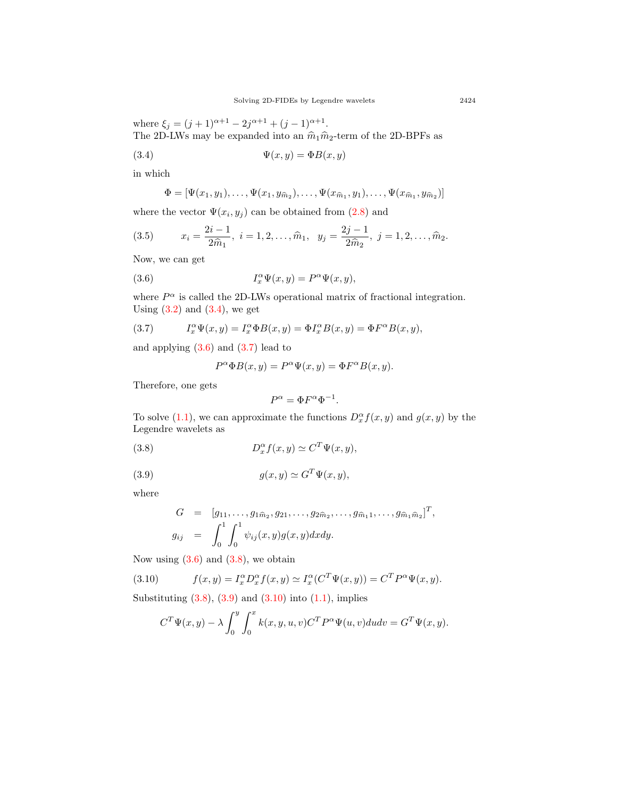where  $\xi_j = (j+1)^{\alpha+1} - 2j^{\alpha+1} + (j-1)^{\alpha+1}$ . The 2D-LWs may be expanded into an  $\widehat{m}_1\widehat{m}_2\text{-term}$  of the 2D-BPFs as

$$
(3.4) \t\t \Psi(x,y) = \Phi B(x,y)
$$

in which

<span id="page-6-6"></span><span id="page-6-0"></span>
$$
\Phi = [\Psi(x_1, y_1), \dots, \Psi(x_1, y_{\hat{m}_2}), \dots, \Psi(x_{\hat{m}_1}, y_1), \dots, \Psi(x_{\hat{m}_1}, y_{\hat{m}_2})]
$$

wherethe vector  $\Psi(x_i, y_j)$  can be obtained from  $(2.8)$  $(2.8)$  $(2.8)$  and

(3.5) 
$$
x_i = \frac{2i-1}{2\hat{m}_1}, \ i = 1, 2, \dots, \hat{m}_1, \ y_j = \frac{2j-1}{2\hat{m}_2}, \ j = 1, 2, \dots, \hat{m}_2.
$$

Now, we can get

(3.6) 
$$
I_x^{\alpha} \Psi(x, y) = P^{\alpha} \Psi(x, y),
$$

where  $P^{\alpha}$  is called the 2D-LWs operational matrix of fractional integration. Using  $(3.2)$  and  $(3.4)$ , we get

(3.7) 
$$
I_x^{\alpha} \Psi(x, y) = I_x^{\alpha} \Phi B(x, y) = \Phi I_x^{\alpha} B(x, y) = \Phi F^{\alpha} B(x, y),
$$

and applying  $(3.6)$  and  $(3.7)$  lead to

<span id="page-6-2"></span><span id="page-6-1"></span>
$$
P^{\alpha} \Phi B(x, y) = P^{\alpha} \Psi(x, y) = \Phi F^{\alpha} B(x, y).
$$

Therefore, one gets

<span id="page-6-4"></span><span id="page-6-3"></span>
$$
P^{\alpha} = \Phi F^{\alpha} \Phi^{-1}.
$$

Tosolve ([1.1\)](#page-2-0), we can approximate the functions  $D_x^{\alpha} f(x, y)$  and  $g(x, y)$  by the Legendre wavelets as

(3.8) 
$$
D_x^{\alpha} f(x, y) \simeq C^T \Psi(x, y),
$$

(3.9) 
$$
g(x,y) \simeq G^T \Psi(x,y),
$$

where

$$
G = [g_{11}, \dots, g_{1\hat{m}_2}, g_{21}, \dots, g_{2\hat{m}_2}, \dots, g_{\hat{m}_1 1}, \dots, g_{\hat{m}_1 \hat{m}_2}]^T,
$$
  
\n
$$
g_{ij} = \int_0^1 \int_0^1 \psi_{ij}(x, y) g(x, y) dx dy.
$$

Nowusing  $(3.6)$  $(3.6)$  and  $(3.8)$ , we obtain

(3.10) 
$$
f(x,y) = I_x^{\alpha} D_x^{\alpha} f(x,y) \simeq I_x^{\alpha} (C^T \Psi(x,y)) = C^T P^{\alpha} \Psi(x,y).
$$

Substituting $(3.8), (3.9)$  $(3.8), (3.9)$  $(3.8), (3.9)$  and  $(3.10)$  $(3.10)$  into  $(1.1)$  $(1.1)$ , implies

<span id="page-6-5"></span>
$$
C^T \Psi(x, y) - \lambda \int_0^y \int_0^x k(x, y, u, v) C^T P^{\alpha} \Psi(u, v) du dv = G^T \Psi(x, y).
$$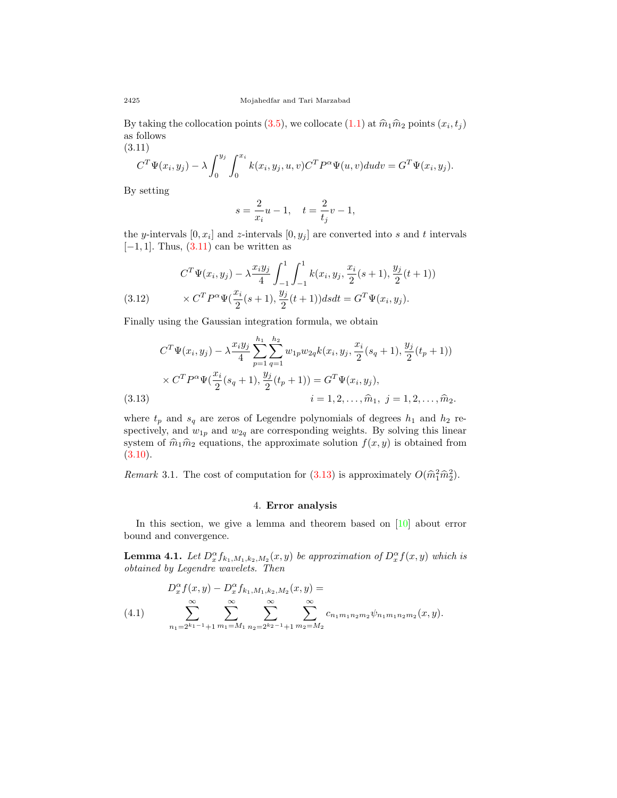Bytaking the collocation points ([3.5\)](#page-6-6), we collocate ([1.1\)](#page-2-0) at  $\hat{m}_1 \hat{m}_2$  points  $(x_i, t_j)$ as follows  $(3.11)$ 

 $y_j$ .

<span id="page-7-0"></span>
$$
CT \Psi(xi, yj) - \lambda \int_0^{y_j} \int_0^{x_i} k(x_i, y_j, u, v) CT P\alpha \Psi(u, v) du dv = GT \Psi(xi,
$$

By setting

$$
s = \frac{2}{x_i}u - 1, \quad t = \frac{2}{t_j}v - 1,
$$

the *y*-intervals  $[0, x_i]$  and *z*-intervals  $[0, y_j]$  are converted into *s* and *t* intervals [*−*1*,* 1]*.* Thus,([3.11](#page-7-0)) can be written as

(3.12) 
$$
C^T \Psi(x_i, y_j) - \lambda \frac{x_i y_j}{4} \int_{-1}^1 \int_{-1}^1 k(x_i, y_j, \frac{x_i}{2}(s+1), \frac{y_j}{2}(t+1)) \times C^T P^{\alpha} \Psi(\frac{x_i}{2}(s+1), \frac{y_j}{2}(t+1)) ds dt = G^T \Psi(x_i, y_j).
$$

Finally using the Gaussian integration formula, we obtain

$$
C^{T}\Psi(x_{i}, y_{j}) - \lambda \frac{x_{i}y_{j}}{4} \sum_{p=1}^{h_{1}} \sum_{q=1}^{h_{2}} w_{1p}w_{2q}k(x_{i}, y_{j}, \frac{x_{i}}{2}(s_{q}+1), \frac{y_{j}}{2}(t_{p}+1))
$$

$$
\times C^{T}P^{\alpha}\Psi(\frac{x_{i}}{2}(s_{q}+1), \frac{y_{j}}{2}(t_{p}+1)) = G^{T}\Psi(x_{i}, y_{j}),
$$
(3.13)
$$
i = 1, 2, ..., \hat{m}_{1}, j = 1, 2, ..., \hat{m}_{2}.
$$

<span id="page-7-1"></span>where  $t_p$  and  $s_q$  are zeros of Legendre polynomials of degrees  $h_1$  and  $h_2$  respectively, and  $w_{1p}$  and  $w_{2q}$  are corresponding weights. By solving this linear system of  $\hat{m}_1 \hat{m}_2$  equations, the approximate solution  $f(x, y)$  is obtained from  $(3.10).$  $(3.10).$  $(3.10).$ 

*Remark* 3.1. The cost of computation for  $(3.13)$  is approximately  $O(\hat{m}_1^2 \hat{m}_2^2)$ .

#### 4. **Error analysis**

In this section, we give a lemma and theorem based on[[10\]](#page-16-7) about error bound and convergence.

<span id="page-7-3"></span>**Lemma 4.1.** *Let*  $D_x^{\alpha} f_{k_1,M_1,k_2,M_2}(x,y)$  *be approximation of*  $D_x^{\alpha} f(x,y)$  *which is obtained by Legendre wavelets. Then*

<span id="page-7-2"></span>
$$
(4.1) \qquad D_x^{\alpha} f(x, y) - D_x^{\alpha} f_{k_1, M_1, k_2, M_2}(x, y) =
$$
  

$$
(4.1) \qquad \sum_{n_1=2^{k_1-1}+1}^{\infty} \sum_{m_1=M_1}^{\infty} \sum_{n_2=2^{k_2-1}+1}^{\infty} \sum_{m_2=M_2}^{\infty} c_{n_1 m_1 n_2 m_2} \psi_{n_1 m_1 n_2 m_2}(x, y).
$$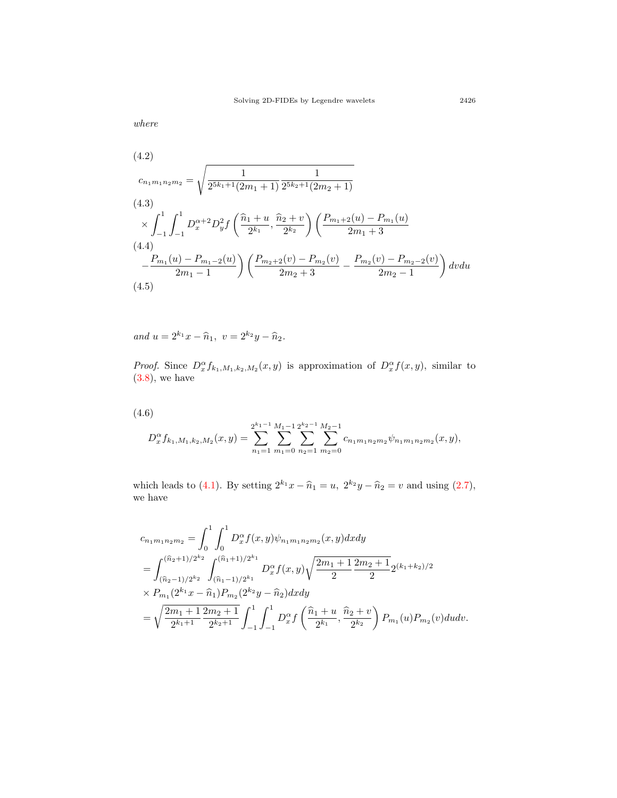*where*

(4.2)  
\n
$$
c_{n_1m_1n_2m_2} = \sqrt{\frac{1}{2^{5k_1+1}(2m_1+1)}\frac{1}{2^{5k_2+1}(2m_2+1)}}
$$
\n(4.3)  
\n
$$
\times \int_{-1}^{1} \int_{-1}^{1} D_x^{\alpha+2} D_y^2 f\left(\frac{\hat{n}_1+u}{2^{k_1}}, \frac{\hat{n}_2+v}{2^{k_2}}\right) \left(\frac{P_{m_1+2}(u) - P_{m_1}(u)}{2m_1+3}\right)
$$
\n(4.4)  
\n
$$
-\frac{P_{m_1}(u) - P_{m_1-2}(u)}{2m_1-1}\left(\frac{P_{m_2+2}(v) - P_{m_2}(v)}{2m_2+3} - \frac{P_{m_2}(v) - P_{m_2-2}(v)}{2m_2-1}\right) dvdu
$$
\n(4.5)

*and*  $u = 2^{k_1}x - \hat{n}_1$ ,  $v = 2^{k_2}y - \hat{n}_2$ .

*Proof.* Since  $D_x^{\alpha} f_{k_1, M_1, k_2, M_2}(x, y)$  is approximation of  $D_x^{\alpha} f(x, y)$ , similar to  $(3.8)$  $(3.8)$ , we have

$$
(4.6)
$$

$$
D_x^{\alpha} f_{k_1,M_1,k_2,M_2}(x,y) = \sum_{n_1=1}^{2^{k_1-1}} \sum_{m_1=0}^{M_1-1} \sum_{n_2=1}^{2^{k_2-1}} \sum_{m_2=0}^{M_2-1} c_{n_1m_1n_2m_2} \psi_{n_1m_1n_2m_2}(x,y),
$$

which leads to [\(4.1\)](#page-7-2).By setting  $2^{k_1}x - \hat{n}_1 = u$ ,  $2^{k_2}y - \hat{n}_2 = v$  and using ([2.7\)](#page-4-0), we have

$$
c_{n_1m_1n_2m_2} = \int_0^1 \int_0^1 D_x^{\alpha} f(x, y) \psi_{n_1m_1n_2m_2}(x, y) dx dy
$$
  
= 
$$
\int_{(\widehat{n}_2 - 1)/2^{k_2}}^{(\widehat{n}_2 + 1)/2^{k_2}} \int_{(\widehat{n}_1 - 1)/2^{k_1}}^{(\widehat{n}_1 + 1)/2^{k_1}} D_x^{\alpha} f(x, y) \sqrt{\frac{2m_1 + 1}{2} \frac{2m_2 + 1}{2}} 2^{(k_1 + k_2)/2}
$$
  

$$
\times P_{m_1}(2^{k_1}x - \widehat{n}_1) P_{m_2}(2^{k_2}y - \widehat{n}_2) dx dy
$$
  
= 
$$
\sqrt{\frac{2m_1 + 1}{2^{k_1+1}} \frac{2m_2 + 1}{2^{k_2+1}}} \int_{-1}^1 \int_{-1}^1 D_x^{\alpha} f\left(\frac{\widehat{n}_1 + u}{2^{k_1}}, \frac{\widehat{n}_2 + v}{2^{k_2}}\right) P_{m_1}(u) P_{m_2}(v) du dv.
$$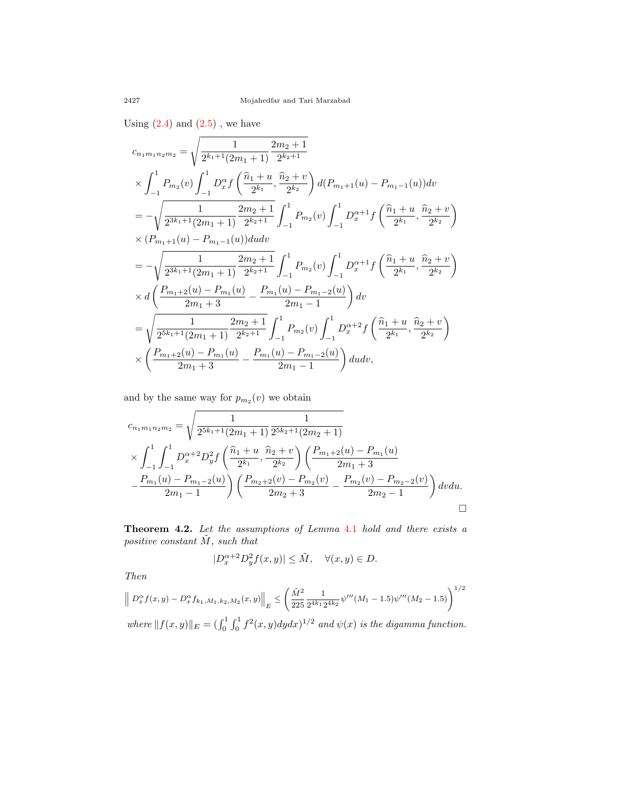Using  $(2.4)$  and  $(2.5)$ , we have

$$
c_{n_1m_1n_2m_2} = \sqrt{\frac{1}{2^{k_1+1}(2m_1+1)} \frac{2m_2+1}{2^{k_2+1}}}
$$
  
\n
$$
\times \int_{-1}^{1} P_{m_2}(v) \int_{-1}^{1} D_x^{\alpha} f\left(\frac{\hat{n}_1+u}{2^{k_1}}, \frac{\hat{n}_2+v}{2^{k_2}}\right) d(P_{m_1+1}(u) - P_{m_1-1}(u)) dv
$$
  
\n
$$
= -\sqrt{\frac{1}{2^{3k_1+1}(2m_1+1)} \frac{2m_2+1}{2^{k_2+1}}} \int_{-1}^{1} P_{m_2}(v) \int_{-1}^{1} D_x^{\alpha+1} f\left(\frac{\hat{n}_1+u}{2^{k_1}}, \frac{\hat{n}_2+v}{2^{k_2}}\right)
$$
  
\n
$$
\times (P_{m_1+1}(u) - P_{m_1-1}(u)) du dv
$$
  
\n
$$
= -\sqrt{\frac{1}{2^{3k_1+1}(2m_1+1)} \frac{2m_2+1}{2^{k_2+1}}} \int_{-1}^{1} P_{m_2}(v) \int_{-1}^{1} D_x^{\alpha+1} f\left(\frac{\hat{n}_1+u}{2^{k_1}}, \frac{\hat{n}_2+v}{2^{k_2}}\right)
$$
  
\n
$$
\times d\left(\frac{P_{m_1+2}(u) - P_{m_1}(u)}{2m_1+3} - \frac{P_{m_1}(u) - P_{m_1-2}(u)}{2m_1-1}\right) dv
$$
  
\n
$$
= \sqrt{\frac{1}{2^{5k_1+1}(2m_1+1)} \frac{2m_2+1}{2^{k_2+1}}} \int_{-1}^{1} P_{m_2}(v) \int_{-1}^{1} D_x^{\alpha+2} f\left(\frac{\hat{n}_1+u}{2^{k_1}}, \frac{\hat{n}_2+v}{2^{k_2}}\right)
$$
  
\n
$$
\times \left(\frac{P_{m_1+2}(u) - P_{m_1}(u)}{2m_1+3} - \frac{P_{m_1}(u) - P_{m_1-2}(u)}{2m_1-1}\right) du dv,
$$

and by the same way for  $p_{m_2}(v)$  we obtain

$$
c_{n_1m_1n_2m_2} = \sqrt{\frac{1}{2^{5k_1+1}(2m_1+1)}\frac{1}{2^{5k_2+1}(2m_2+1)}}
$$
  
\$\times \int\_{-1}^{1} \int\_{-1}^{1} D\_x^{\alpha+2} D\_y^2 f\left(\frac{\hat{n}\_1+u}{2^{k\_1}}, \frac{\hat{n}\_2+v}{2^{k\_2}}\right) \left(\frac{P\_{m\_1+2}(u)-P\_{m\_1}(u)}{2m\_1+3} - \frac{P\_{m\_1}(u)-P\_{m\_1-2}(u)}{2m\_1-1}\right) \left(\frac{P\_{m\_2+2}(v)-P\_{m\_2}(v)}{2m\_2+3} - \frac{P\_{m\_2}(v)-P\_{m\_2-2}(v)}{2m\_2-1}\right) dv du\$.

<span id="page-9-0"></span>**Theorem 4.2.** *Let the assumptions of Lemma* [4.1](#page-7-3) *hold and there exists a positive constant M*˜ *, such that*

$$
|D_x^{\alpha+2}D_y^2f(x,y)| \leq \tilde{M}, \quad \forall (x,y) \in D.
$$

*Then*

$$
\| D_x^{\alpha} f(x, y) - D_x^{\alpha} f_{k_1, M_1, k_2, M_2}(x, y) \|_{E} \leq \left( \frac{\tilde{M}^2}{225} \frac{1}{2^{4k_1} 2^{4k_2}} \psi'''(M_1 - 1.5) \psi'''(M_2 - 1.5) \right)^{1/2}
$$
  
where  $||f(x, y)||_E = (\int_0^1 \int_0^1 f^2(x, y) dy dx)^{1/2}$  and  $\psi(x)$  is the digamma function.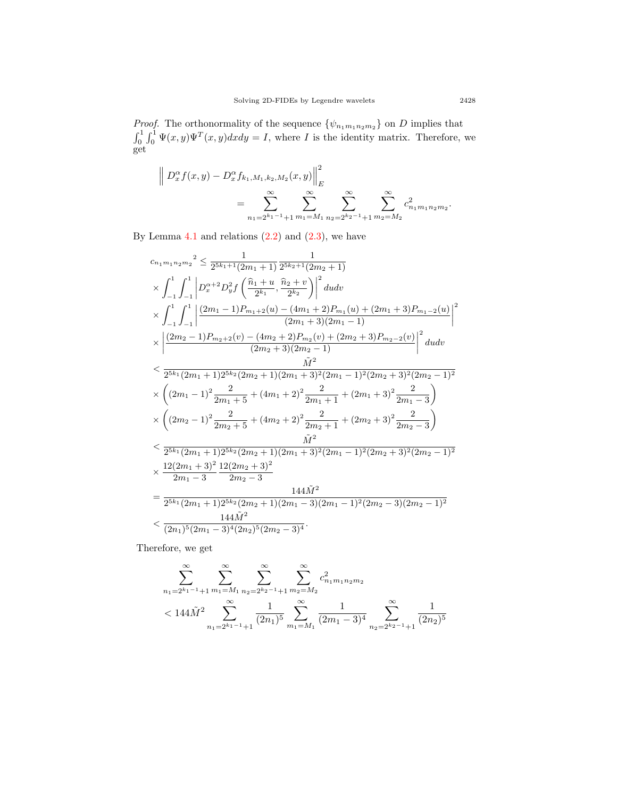*Proof.* The orthonormality of the sequence  $\{\psi_{n_1m_1n_2m_2}\}\$  on *D* implies that  $\int_0^1 \int_0^1 \Psi(x, y) \Psi^T(x, y) dx dy = I$ , where *I* is the identity matrix. Therefore, we get

$$
\left\| D_x^{\alpha} f(x, y) - D_x^{\alpha} f_{k_1, M_1, k_2, M_2}(x, y) \right\|_E^2
$$
  
= 
$$
\sum_{n_1=2^{k_1-1}+1}^{\infty} \sum_{m_1=M_1}^{\infty} \sum_{n_2=2^{k_2-1}+1}^{\infty} \sum_{m_2=M_2}^{\infty} c_{n_1 m_1 n_2 m_2}^2.
$$

By Lemma  $4.1$  and relations  $(2.2)$  and  $(2.3)$ , we have

$$
c_{n_1m_1n_2m_2}^{n_2} \leq \frac{1}{2^{5k_1+1}(2m_1+1)} \frac{1}{2^{5k_2+1}(2m_2+1)}
$$
  
\n
$$
\times \int_{-1}^{1} \int_{-1}^{1} \left| D_x^{\alpha+2} D_y^2 f\left(\frac{\hat{n}_1+u}{2^{k_1}}, \frac{\hat{n}_2+v}{2^{k_2}}\right) \right|^2 du dv
$$
  
\n
$$
\times \int_{-1}^{1} \int_{-1}^{1} \left| \frac{(2m_1-1)P_{m_1+2}(u) - (4m_1+2)P_{m_1}(u) + (2m_1+3)P_{m_1-2}(u)}{(2m_1+3)(2m_1-1)} \right|^2
$$
  
\n
$$
\times \left| \frac{(2m_2-1)P_{m_2+2}(v) - (4m_2+2)P_{m_2}(v) + (2m_2+3)P_{m_2-2}(v)}{(2m_2+3)(2m_2-1)} \right|^2 du dv
$$
  
\n
$$
< \frac{\hat{M}^2}{2^{5k_1}(2m_1+1)2^{5k_2}(2m_2+1)(2m_1+3)^2(2m_1-1)^2(2m_2+3)^2(2m_2-1)^2}
$$
  
\n
$$
\times \left((2m_1-1)^2 \frac{2}{2m_1+5} + (4m_1+2)^2 \frac{2}{2m_1+1} + (2m_1+3)^2 \frac{2}{2m_1-3}\right)
$$
  
\n
$$
\times \left((2m_2-1)^2 \frac{2}{2m_2+5} + (4m_2+2)^2 \frac{2}{2m_2+1} + (2m_2+3)^2 \frac{2}{2m_2-3}\right)
$$
  
\n
$$
< \frac{2^{5k_1}(2m_1+1)2^{5k_2}(2m_2+1)(2m_1+3)^2(2m_1-1)^2(2m_2+3)^2(2m_2-1)^2}{2m_1-3}
$$
  
\n
$$
\times \frac{12(2m_1+3)^2}{2m_1-3} \frac{12(2m_2+3)^2}{2m_2-3}
$$
  
\n
$$
= \frac{
$$

Therefore, we get

$$
\sum_{n_1=2^{k_1-1}+1}^{\infty} \sum_{m_1=M_1}^{\infty} \sum_{n_2=2^{k_2-1}+1}^{\infty} \sum_{m_2=M_2}^{\infty} c_{n_1m_1n_2m_2}^2
$$
  

$$
<144\tilde{M}^2 \sum_{n_1=2^{k_1-1}+1}^{\infty} \frac{1}{(2n_1)^5} \sum_{m_1=M_1}^{\infty} \frac{1}{(2m_1-3)^4} \sum_{n_2=2^{k_2-1}+1}^{\infty} \frac{1}{(2n_2)^5}
$$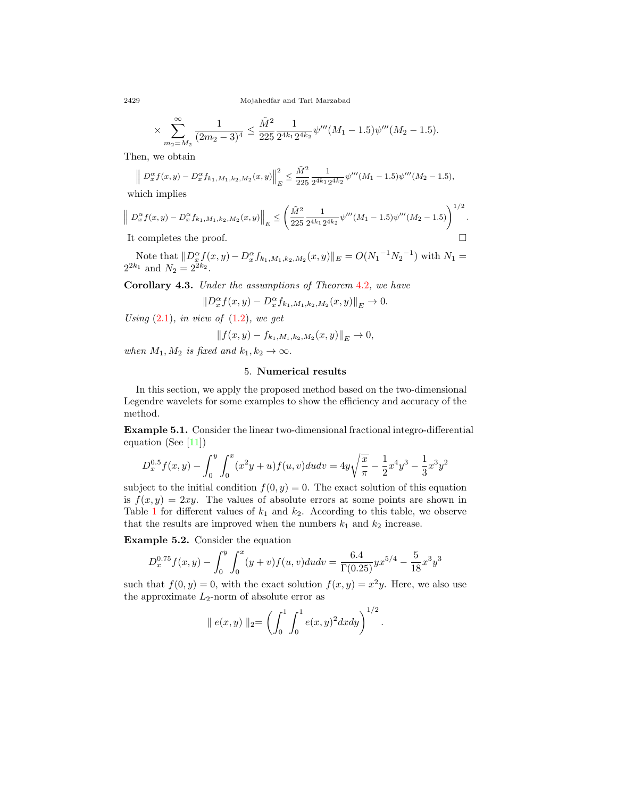2429 Mojahedfar and Tari Marzabad

$$
\times \sum_{m_2=M_2}^{\infty} \frac{1}{(2m_2-3)^4} \le \frac{\tilde{M}^2}{225} \frac{1}{2^{4k_1} 2^{4k_2}} \psi'''(M_1-1.5) \psi'''(M_2-1.5).
$$

Then, we obtain

$$
\left\| D_x^{\alpha} f(x,y) - D_x^{\alpha} f_{k_1,M_1,k_2,M_2}(x,y) \right\|_E^2 \le \frac{\tilde{M}^2}{225} \frac{1}{2^{4k_1} 2^{4k_2}} \psi'''(M_1 - 1.5) \psi'''(M_2 - 1.5),
$$

which implies

$$
\left\| D_x^{\alpha} f(x,y) - D_x^{\alpha} f_{k_1,M_1,k_2,M_2}(x,y) \right\|_E \leq \left( \frac{\tilde{M}^2}{225} \frac{1}{2^{4k_1} 2^{4k_2}} \psi'''(M_1 - 1.5) \psi'''(M_2 - 1.5) \right)^{1/2}.
$$

It completes the proof.  $\Box$ 

Note that  $||D_x^{\alpha} f(x,y) - D_x^{\alpha} f_{k_1,M_1,k_2,M_2}(x,y)||_E = O(N_1^{-1} N_2^{-1})$  with  $N_1 =$  $2^{2k_1}$  and  $N_2 = 2^{2k_2}$ .

**Corollary 4.3.** *Under the assumptions of Theorem* [4.2](#page-9-0)*, we have*

$$
||D_x^{\alpha} f(x, y) - D_x^{\alpha} f_{k_1, M_1, k_2, M_2}(x, y)||_E \to 0.
$$

*Using* [\(2.1\)](#page-3-0)*, in view of* ([1.2](#page-2-1))*, we get*

$$
|| f(x, y) - f_{k_1, M_1, k_2, M_2}(x, y)||_E \to 0,
$$

*when*  $M_1, M_2$  *is fixed and*  $k_1, k_2 \rightarrow \infty$ *.* 

## 5. **Numerical results**

In this section, we apply the proposed method based on the two-dimensional Legendre wavelets for some examples to show the efficiency and accuracy of the method.

<span id="page-11-0"></span>**Example 5.1.** Consider the linear two-dimensional fractional integro-differential equation (See[[11](#page-16-17)])

$$
D_x^{0.5}f(x,y) - \int_0^y \int_0^x (x^2y + u)f(u, v)dudv = 4y\sqrt{\frac{x}{\pi}} - \frac{1}{2}x^4y^3 - \frac{1}{3}x^3y^2
$$

subject to the initial condition  $f(0, y) = 0$ . The exact solution of this equation is  $f(x, y) = 2xy$ . The values of absolute errors at some points are shown in Table [1](#page-12-0) for different values of  $k_1$  and  $k_2$ . According to this table, we observe that the results are improved when the numbers  $k_1$  and  $k_2$  increase.

<span id="page-11-1"></span>**Example 5.2.** Consider the equation

$$
D_x^{0.75} f(x,y) - \int_0^y \int_0^x (y+v) f(u,v) du dv = \frac{6.4}{\Gamma(0.25)} y x^{5/4} - \frac{5}{18} x^3 y^3
$$

such that  $f(0, y) = 0$ , with the exact solution  $f(x, y) = x^2y$ . Here, we also use the approximate *L*2-norm of absolute error as

$$
\| e(x,y) \|_2 = \left( \int_0^1 \int_0^1 e(x,y)^2 dx dy \right)^{1/2}.
$$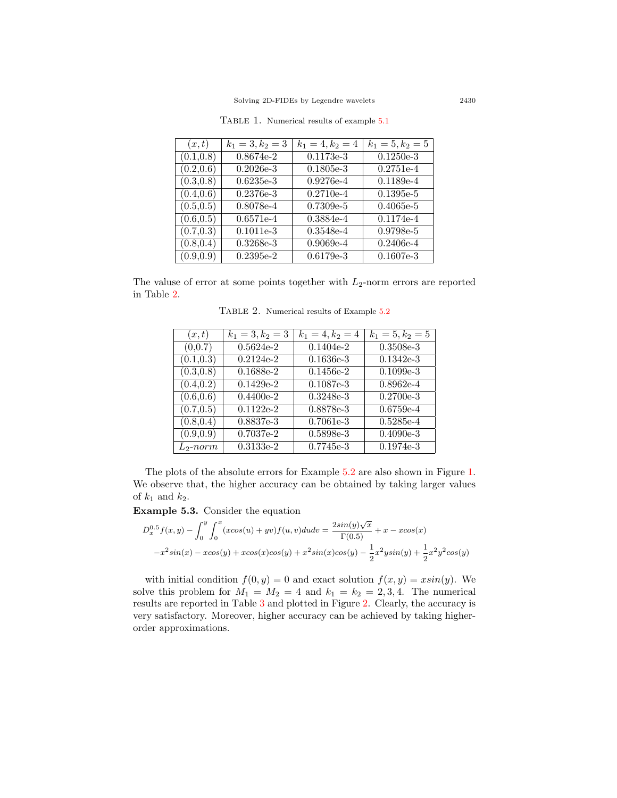| (x,t)      | $k_1 = 3, k_2 = 3$ | $k_1 = 4, k_2 = 4$ | $k_1 = 5, k_2 = 5$ |
|------------|--------------------|--------------------|--------------------|
| (0.1, 0.8) | $0.8674e-2$        | $0.1173e-3$        | $0.1250e-3$        |
| (0.2, 0.6) | $0.2026e-3$        | $0.1805e-3$        | $0.2751e-4$        |
| (0.3, 0.8) | $0.6235e-3$        | $0.9276e-4$        | $0.1189e-4$        |
| (0.4, 0.6) | $0.2376e-3$        | $0.2710e-4$        | $0.1395e-5$        |
| (0.5, 0.5) | 0.8078e-4          | $0.7309e-5$        | $0.4065e-5$        |
| (0.6, 0.5) | $0.6571e-4$        | $0.3884e-4$        | $0.1174e-4$        |
| (0.7, 0.3) | $0.1011e-3$        | $0.3548e-4$        | 0.9798e-5          |
| (0.8, 0.4) | $0.3268e-3$        | $0.9069e-4$        | $0.2406e-4$        |
| (0.9, 0.9) | $0.2395e-2$        | $0.6179e-3$        | $0.1607e-3$        |

<span id="page-12-0"></span>Table 1. Numerical results of example [5.1](#page-11-0)

The valuse of error at some points together with *L*2-norm errors are reported in Table [2](#page-12-1).

<span id="page-12-1"></span>Table 2. Numerical results of Example [5.2](#page-11-1)

| (x,t)       | $k_1 = 3, k_2 = 3$ | $k_1 = 4, k_2 = 4$ | $k_1 = 5, k_2 = 5$ |
|-------------|--------------------|--------------------|--------------------|
| (0,0.7)     | $0.5624e-2$        | $0.1404e-2$        | $0.3508e-3$        |
| (0.1, 0.3)  | $0.2124e-2$        | $0.1636e-3$        | $0.1342e-3$        |
| (0.3, 0.8)  | $0.1688e-2$        | $0.1456e-2$        | $0.1099e-3$        |
| (0.4, 0.2)  | $0.1429e-2$        | $0.1087e-3$        | $0.8962e-4$        |
| (0.6, 0.6)  | $0.4400e-2$        | $0.3248e-3$        | $0.2700e-3$        |
| (0.7, 0.5)  | $0.1122e-2$        | 0.8878e-3          | $0.6759e-4$        |
| (0.8, 0.4)  | 0.8837e-3          | $0.7061e-3$        | $0.5285e-4$        |
| (0.9, 0.9)  | $0.7037e-2$        | 0.5898e-3          | $0.4090e-3$        |
| $L_2$ -norm | $0.3133e-2$        | $0.7745e-3$        | $0.1974e-3$        |

The plots of the absolute errors for Example [5.2](#page-11-1) are also shown in Figure [1](#page-13-0). We observe that, the higher accuracy can be obtained by taking larger values of  $k_1$  and  $k_2$ .

<span id="page-12-2"></span>**Example 5.3.** Consider the equation

$$
D_x^{0.5} f(x, y) - \int_0^y \int_0^x (x \cos(u) + yv) f(u, v) du dv = \frac{2\sin(y)\sqrt{x}}{\Gamma(0.5)} + x - x \cos(x)
$$
  

$$
-x^2 \sin(x) - x \cos(y) + x \cos(x) \cos(y) + x^2 \sin(x) \cos(y) - \frac{1}{2} x^2 y \sin(y) + \frac{1}{2} x^2 y^2 \cos(y)
$$

with initial condition  $f(0, y) = 0$  and exact solution  $f(x, y) = x \sin(y)$ . We solve this problem for  $M_1 = M_2 = 4$  and  $k_1 = k_2 = 2, 3, 4$ . The numerical results are reported in Table [3](#page-15-0) and plotted in Figure [2](#page-14-0). Clearly, the accuracy is very satisfactory. Moreover, higher accuracy can be achieved by taking higherorder approximations.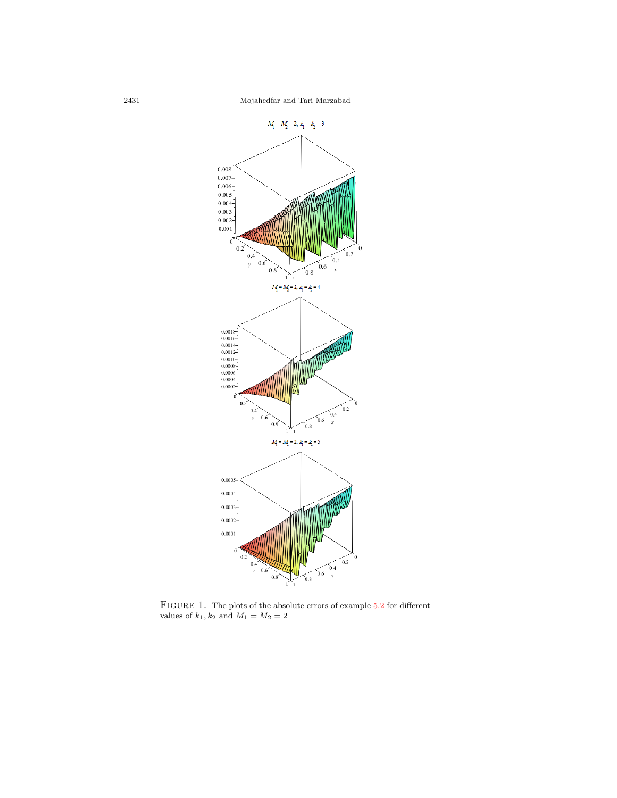

<span id="page-13-0"></span>FIGURE 1. The plots of the absolute errors of example [5.2](#page-11-1) for different values of  $k_1, k_2$  and  $M_1 = M_2 = 2$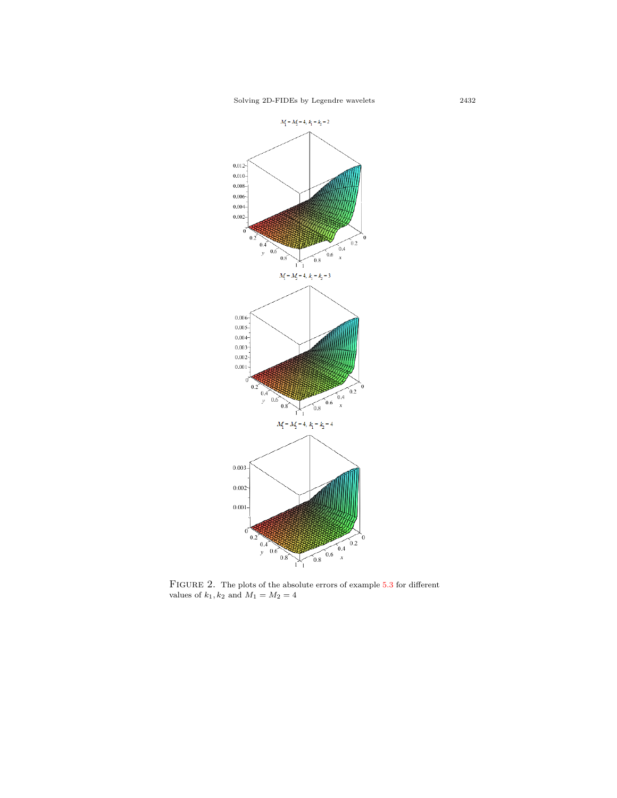Solving 2D-FIDEs by Legendre wavelets 2432



<span id="page-14-0"></span>FIGURE 2. The plots of the absolute errors of example  $5.3$  for different values of  $k_1, k_2$  and  $M_1 = M_2 = 4$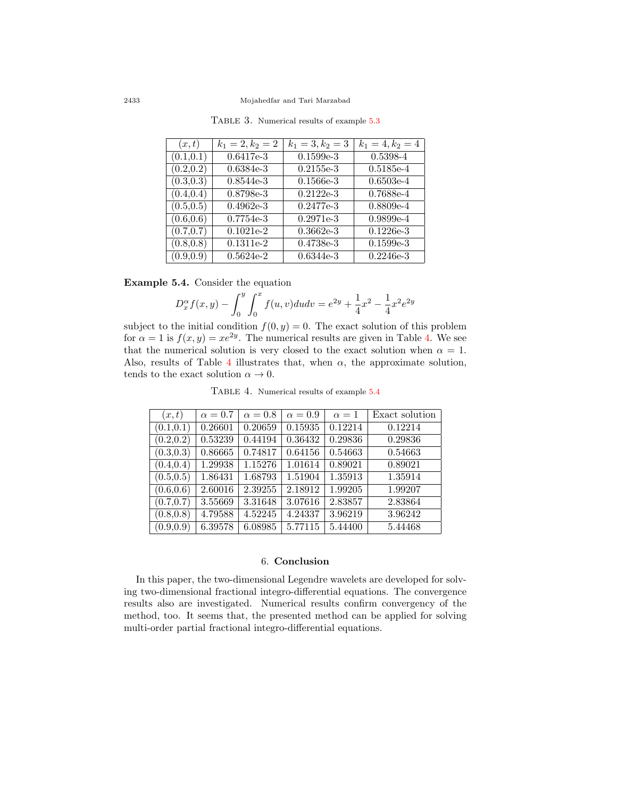| (x,t)      | $k_1 = 2, k_2 = 2$ | $k_1 = 3, k_2 = 3$ | $k_1 = 4, k_2 = 4$ |
|------------|--------------------|--------------------|--------------------|
| (0.1, 0.1) | $0.6417e-3$        | $0.1599e-3$        | 0.5398-4           |
| (0.2, 0.2) | $0.6384e-3$        | $0.2155e-3$        | $0.5185e-4$        |
| (0.3, 0.3) | $0.8544e-3$        | $0.1566e-3$        | $0.6503e-4$        |
| (0.4, 0.4) | 0.8798e-3          | $0.2122e-3$        | 0.7688e-4          |
| (0.5, 0.5) | $0.4962e-3$        | $0.2477e-3$        | $0.8809e-4$        |
| (0.6, 0.6) | $0.7754e-3$        | $0.2971e-3$        | $0.9899e-4$        |
| (0.7, 0.7) | $0.1021e-2$        | $0.3662e-3$        | $0.1226e-3$        |
| (0.8, 0.8) | $0.1311e-2$        | 0.4738e-3          | $0.1599e-3$        |
| (0.9, 0.9) | $0.5624e-2$        | $0.6344e-3$        | $0.2246e-3$        |

<span id="page-15-0"></span>TABLE 3. Numerical results of example [5.3](#page-12-2)

<span id="page-15-2"></span>**Example 5.4.** Consider the equation

$$
D_x^{\alpha} f(x, y) - \int_0^y \int_0^x f(u, v) du dv = e^{2y} + \frac{1}{4}x^2 - \frac{1}{4}x^2 e^{2y}
$$

subject to the initial condition  $f(0, y) = 0$ . The exact solution of this problem for  $\alpha = 1$  is  $f(x, y) = xe^{2y}$ . The numerical results are given in Table [4.](#page-15-1) We see that the numerical solution is very closed to the exact solution when  $\alpha = 1$ . Also, results of Table [4](#page-15-1) illustrates that, when  $\alpha$ , the approximate solution, tends to the exact solution  $\alpha \to 0$ .

<span id="page-15-1"></span>Table 4. Numerical results of example [5.4](#page-15-2)

| (x,t)      | $\alpha = 0.7$ | $\alpha = 0.8$ | $\alpha = 0.9$ | $\alpha = 1$ | Exact solution |
|------------|----------------|----------------|----------------|--------------|----------------|
| (0.1, 0.1) | 0.26601        | 0.20659        | 0.15935        | 0.12214      | 0.12214        |
| (0.2, 0.2) | 0.53239        | 0.44194        | 0.36432        | 0.29836      | 0.29836        |
| (0.3, 0.3) | 0.86665        | 0.74817        | 0.64156        | 0.54663      | 0.54663        |
| (0.4, 0.4) | 1.29938        | 1.15276        | 1.01614        | 0.89021      | 0.89021        |
| (0.5, 0.5) | 1.86431        | 1.68793        | 1.51904        | 1.35913      | 1.35914        |
| (0.6, 0.6) | 2.60016        | 2.39255        | 2.18912        | 1.99205      | 1.99207        |
| (0.7, 0.7) | 3.55669        | 3.31648        | 3.07616        | 2.83857      | 2.83864        |
| (0.8, 0.8) | 4.79588        | 4.52245        | 4.24337        | 3.96219      | 3.96242        |
| (0.9, 0.9) | 6.39578        | 6.08985        | 5.77115        | 5.44400      | 5.44468        |

#### 6. **Conclusion**

In this paper, the two-dimensional Legendre wavelets are developed for solving two-dimensional fractional integro-differential equations. The convergence results also are investigated. Numerical results confirm convergency of the method, too. It seems that, the presented method can be applied for solving multi-order partial fractional integro-differential equations.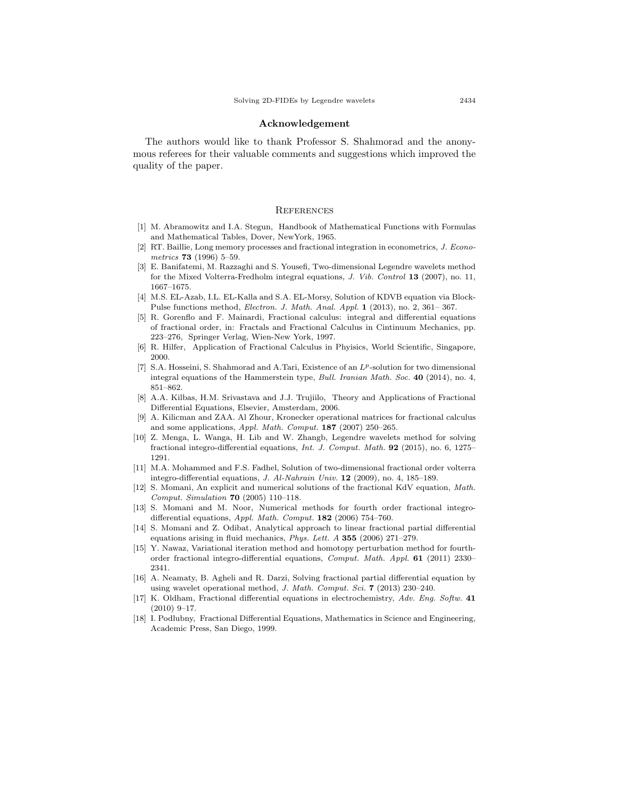#### **Acknowledgement**

The authors would like to thank Professor S. Shahmorad and the anonymous referees for their valuable comments and suggestions which improved the quality of the paper.

#### **REFERENCES**

- <span id="page-16-12"></span>[1] M. Abramowitz and I.A. Stegun, Handbook of Mathematical Functions with Formulas and Mathematical Tables, Dover, NewYork, 1965.
- <span id="page-16-0"></span>[2] RT. Baillie, Long memory processes and fractional integration in econometrics, *J. Econometrics* **73** (1996) 5–59.
- <span id="page-16-14"></span>[3] E. Banifatemi, M. Razzaghi and S. Yousefi, Two-dimensional Legendre wavelets method for the Mixed Volterra-Fredholm integral equations, *J. Vib. Control* **13** (2007), no. 11, 1667–1675.
- <span id="page-16-15"></span>[4] M.S. EL-Azab, I.L. EL-Kalla and S.A. EL-Morsy, Solution of KDVB equation via Block-Pulse functions method, *Electron. J. Math. Anal. Appl.* **1** (2013), no. 2, 361– 367.
- <span id="page-16-1"></span>[5] R. Gorenflo and F. Mainardi, Fractional calculus: integral and differential equations of fractional order, in: Fractals and Fractional Calculus in Cintinuum Mechanics, pp. 223–276, Springer Verlag, Wien-New York, 1997.
- <span id="page-16-2"></span>[6] R. Hilfer, Application of Fractional Calculus in Phyisics, World Scientific, Singapore, 2000.
- <span id="page-16-11"></span>[7] S.A. Hosseini, S. Shahmorad and A.Tari, Existence of an *Lp*-solution for two dimensional integral equations of the Hammerstein type, *Bull. Iranian Math. Soc.* **40** (2014), no. 4, 851–862.
- <span id="page-16-13"></span>[8] A.A. Kilbas, H.M. Srivastava and J.J. Trujiilo, Theory and Applications of Fractional Differential Equations, Elsevier, Amsterdam, 2006.
- <span id="page-16-16"></span>[9] A. Kilicman and ZAA. Al Zhour, Kronecker operational matrices for fractional calculus and some applications, *Appl. Math. Comput.* **187** (2007) 250–265.
- <span id="page-16-7"></span>[10] Z. Menga, L. Wanga, H. Lib and W. Zhangb, Legendre wavelets method for solving fractional integro-differential equations, *Int. J. Comput. Math.* **92** (2015), no. 6, 1275– 1291.
- <span id="page-16-17"></span>[11] M.A. Mohammed and F.S. Fadhel, Solution of two-dimensional fractional order volterra integro-differential equations, *J. Al-Nahrain Univ.* **12** (2009), no. 4, 185–189.
- <span id="page-16-8"></span>[12] S. Momani, An explicit and numerical solutions of the fractional KdV equation, *Math. Comput. Simulation* **70** (2005) 110–118.
- <span id="page-16-5"></span>[13] S. Momani and M. Noor, Numerical methods for fourth order fractional integrodifferential equations, *Appl. Math. Comput.* **182** (2006) 754–760.
- <span id="page-16-9"></span>[14] S. Momani and Z. Odibat, Analytical approach to linear fractional partial differential equations arising in fluid mechanics, *Phys. Lett. A* **355** (2006) 271–279.
- <span id="page-16-6"></span>[15] Y. Nawaz, Variational iteration method and homotopy perturbation method for fourthorder fractional integro-differential equations, *Comput. Math. Appl.* **61** (2011) 2330– 2341.
- <span id="page-16-10"></span>[16] A. Neamaty, B. Agheli and R. Darzi, Solving fractional partial differential equation by using wavelet operational method, *J. Math. Comput. Sci.* **7** (2013) 230–240.
- <span id="page-16-3"></span>[17] K. Oldham, Fractional differential equations in electrochemistry, *Adv. Eng. Softw.* **41** (2010) 9–17.
- <span id="page-16-4"></span>[18] I. Podlubny, Fractional Differential Equations, Mathematics in Science and Engineering, Academic Press, San Diego, 1999.